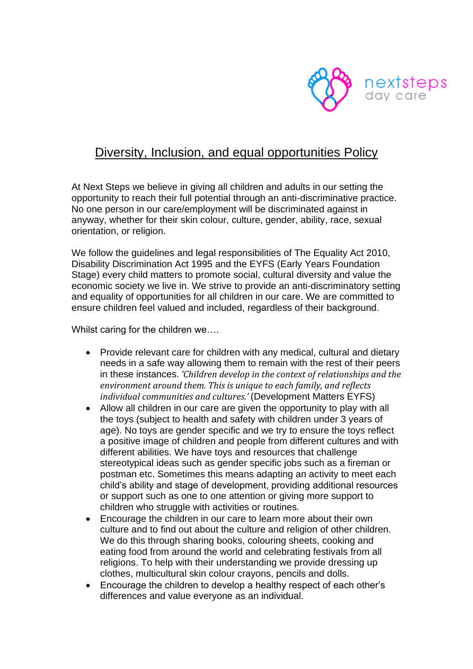

## Diversity, Inclusion, and equal opportunities Policy

At Next Steps we believe in giving all children and adults in our setting the opportunity to reach their full potential through an anti-discriminative practice. No one person in our care/employment will be discriminated against in anyway, whether for their skin colour, culture, gender, ability, race, sexual orientation, or religion.

We follow the guidelines and legal responsibilities of The Equality Act 2010, Disability Discrimination Act 1995 and the EYFS (Early Years Foundation Stage) every child matters to promote social, cultural diversity and value the economic society we live in. We strive to provide an anti-discriminatory setting and equality of opportunities for all children in our care. We are committed to ensure children feel valued and included, regardless of their background.

Whilst caring for the children we....

- Provide relevant care for children with any medical, cultural and dietary needs in a safe way allowing them to remain with the rest of their peers in these instances. *'Children develop in the context of relationships and the environment around them. This is unique to each family, and reflects individual communities and cultures.'* (Development Matters EYFS)
- Allow all children in our care are given the opportunity to play with all the toys (subject to health and safety with children under 3 years of age). No toys are gender specific and we try to ensure the toys reflect a positive image of children and people from different cultures and with different abilities. We have toys and resources that challenge stereotypical ideas such as gender specific jobs such as a fireman or postman etc. Sometimes this means adapting an activity to meet each child's ability and stage of development, providing additional resources or support such as one to one attention or giving more support to children who struggle with activities or routines.
- Encourage the children in our care to learn more about their own culture and to find out about the culture and religion of other children. We do this through sharing books, colouring sheets, cooking and eating food from around the world and celebrating festivals from all religions. To help with their understanding we provide dressing up clothes, multicultural skin colour crayons, pencils and dolls.
- Encourage the children to develop a healthy respect of each other's differences and value everyone as an individual.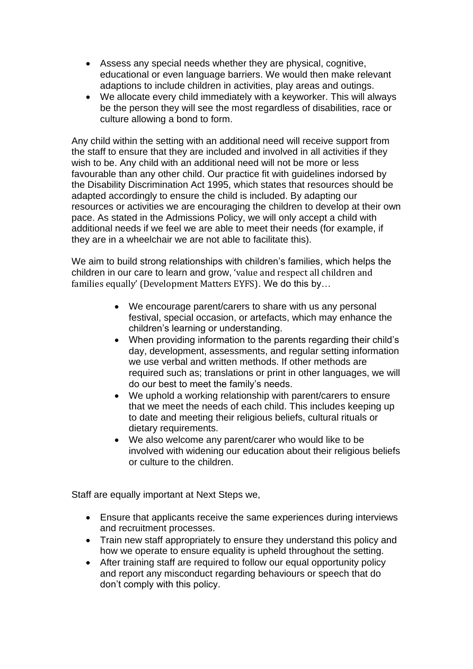- Assess any special needs whether they are physical, cognitive, educational or even language barriers. We would then make relevant adaptions to include children in activities, play areas and outings.
- We allocate every child immediately with a keyworker. This will always be the person they will see the most regardless of disabilities, race or culture allowing a bond to form.

Any child within the setting with an additional need will receive support from the staff to ensure that they are included and involved in all activities if they wish to be. Any child with an additional need will not be more or less favourable than any other child. Our practice fit with guidelines indorsed by the Disability Discrimination Act 1995, which states that resources should be adapted accordingly to ensure the child is included. By adapting our resources or activities we are encouraging the children to develop at their own pace. As stated in the Admissions Policy, we will only accept a child with additional needs if we feel we are able to meet their needs (for example, if they are in a wheelchair we are not able to facilitate this).

We aim to build strong relationships with children's families, which helps the children in our care to learn and grow, 'value and respect all children and families equally' (Development Matters EYFS). We do this by…

- We encourage parent/carers to share with us any personal festival, special occasion, or artefacts, which may enhance the children's learning or understanding.
- When providing information to the parents regarding their child's day, development, assessments, and regular setting information we use verbal and written methods. If other methods are required such as; translations or print in other languages, we will do our best to meet the family's needs.
- We uphold a working relationship with parent/carers to ensure that we meet the needs of each child. This includes keeping up to date and meeting their religious beliefs, cultural rituals or dietary requirements.
- We also welcome any parent/carer who would like to be involved with widening our education about their religious beliefs or culture to the children.

Staff are equally important at Next Steps we,

- Ensure that applicants receive the same experiences during interviews and recruitment processes.
- Train new staff appropriately to ensure they understand this policy and how we operate to ensure equality is upheld throughout the setting.
- After training staff are required to follow our equal opportunity policy and report any misconduct regarding behaviours or speech that do don't comply with this policy.